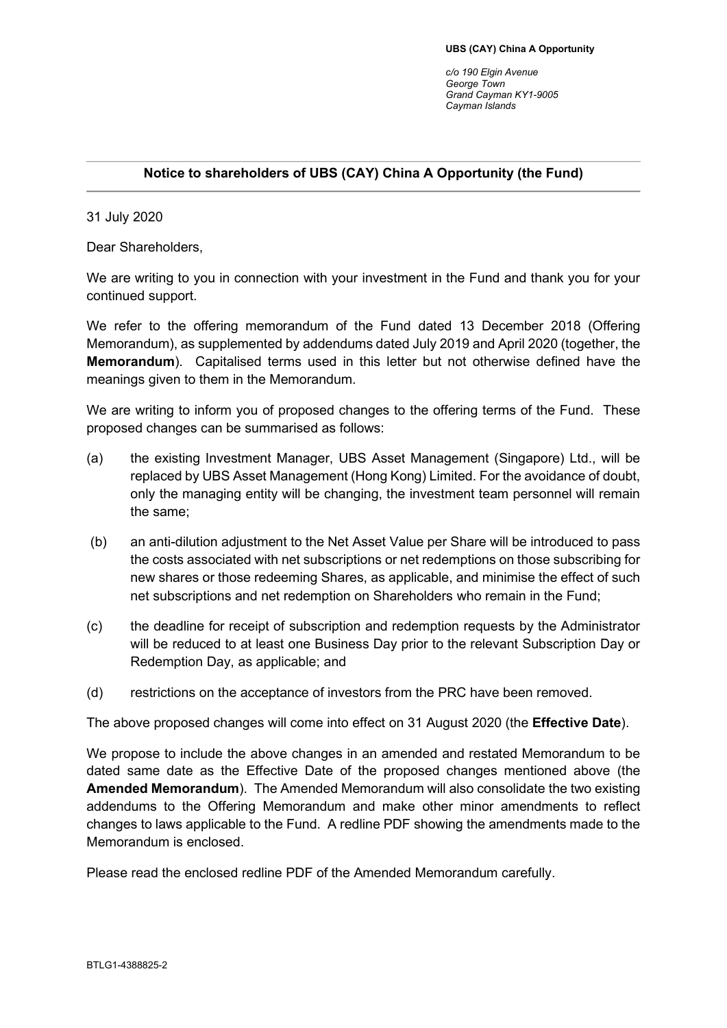*c/o 190 Elgin Avenue George Town Grand Cayman KY1-9005 Cayman Islands*

## **Notice to shareholders of UBS (CAY) China A Opportunity (the Fund)**

31 July 2020

Dear Shareholders,

We are writing to you in connection with your investment in the Fund and thank you for your continued support.

We refer to the offering memorandum of the Fund dated 13 December 2018 (Offering Memorandum), as supplemented by addendums dated July 2019 and April 2020 (together, the **Memorandum**). Capitalised terms used in this letter but not otherwise defined have the meanings given to them in the Memorandum.

We are writing to inform you of proposed changes to the offering terms of the Fund. These proposed changes can be summarised as follows:

- (a) the existing Investment Manager, UBS Asset Management (Singapore) Ltd., will be replaced by UBS Asset Management (Hong Kong) Limited. For the avoidance of doubt, only the managing entity will be changing, the investment team personnel will remain the same;
- (b) an anti-dilution adjustment to the Net Asset Value per Share will be introduced to pass the costs associated with net subscriptions or net redemptions on those subscribing for new shares or those redeeming Shares, as applicable, and minimise the effect of such net subscriptions and net redemption on Shareholders who remain in the Fund;
- (c) the deadline for receipt of subscription and redemption requests by the Administrator will be reduced to at least one Business Day prior to the relevant Subscription Day or Redemption Day, as applicable; and
- (d) restrictions on the acceptance of investors from the PRC have been removed.

The above proposed changes will come into effect on 31 August 2020 (the **Effective Date**).

We propose to include the above changes in an amended and restated Memorandum to be dated same date as the Effective Date of the proposed changes mentioned above (the **Amended Memorandum**). The Amended Memorandum will also consolidate the two existing addendums to the Offering Memorandum and make other minor amendments to reflect changes to laws applicable to the Fund. A redline PDF showing the amendments made to the Memorandum is enclosed.

Please read the enclosed redline PDF of the Amended Memorandum carefully.